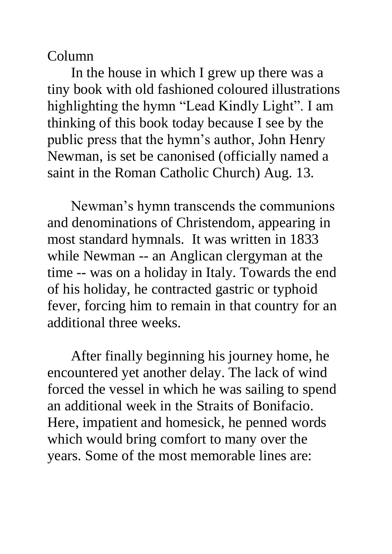## Column

In the house in which I grew up there was a tiny book with old fashioned coloured illustrations highlighting the hymn "Lead Kindly Light". I am thinking of this book today because I see by the public press that the hymn's author, John Henry Newman, is set be canonised (officially named a saint in the Roman Catholic Church) Aug. 13.

Newman's hymn transcends the communions and denominations of Christendom, appearing in most standard hymnals. It was written in 1833 while Newman -- an Anglican clergyman at the time -- was on a holiday in Italy. Towards the end of his holiday, he contracted gastric or typhoid fever, forcing him to remain in that country for an additional three weeks.

After finally beginning his journey home, he encountered yet another delay. The lack of wind forced the vessel in which he was sailing to spend an additional week in the Straits of Bonifacio. Here, impatient and homesick, he penned words which would bring comfort to many over the years. Some of the most memorable lines are: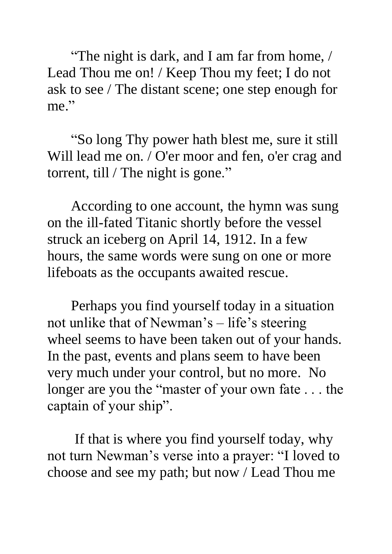"The night is dark, and I am far from home, / Lead Thou me on! / Keep Thou my feet; I do not ask to see / The distant scene; one step enough for me."

"So long Thy power hath blest me, sure it still Will lead me on. / O'er moor and fen, o'er crag and torrent, till / The night is gone."

According to one account, the hymn was sung on the ill-fated Titanic shortly before the vessel struck an iceberg on April 14, 1912. In a few hours, the same words were sung on one or more lifeboats as the occupants awaited rescue.

Perhaps you find yourself today in a situation not unlike that of Newman's – life's steering wheel seems to have been taken out of your hands. In the past, events and plans seem to have been very much under your control, but no more. No longer are you the "master of your own fate . . . the captain of your ship".

If that is where you find yourself today, why not turn Newman's verse into a prayer: "I loved to choose and see my path; but now / Lead Thou me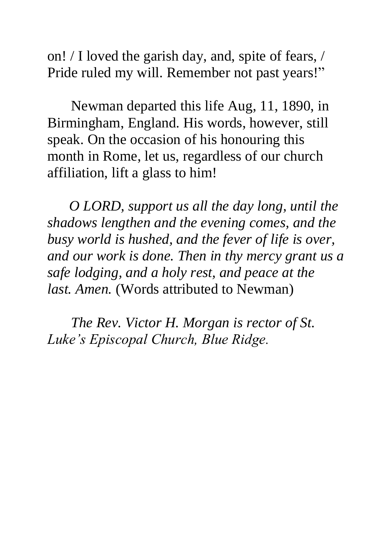on! / I loved the garish day, and, spite of fears, / Pride ruled my will. Remember not past years!"

Newman departed this life Aug, 11, 1890, in Birmingham, England. His words, however, still speak. On the occasion of his honouring this month in Rome, let us, regardless of our church affiliation, lift a glass to him!

 *O LORD, support us all the day long, until the shadows lengthen and the evening comes, and the busy world is hushed, and the fever of life is over, and our work is done. Then in thy mercy grant us a safe lodging, and a holy rest, and peace at the last. Amen.* (Words attributed to Newman)

*The Rev. Victor H. Morgan is rector of St. Luke's Episcopal Church, Blue Ridge.*